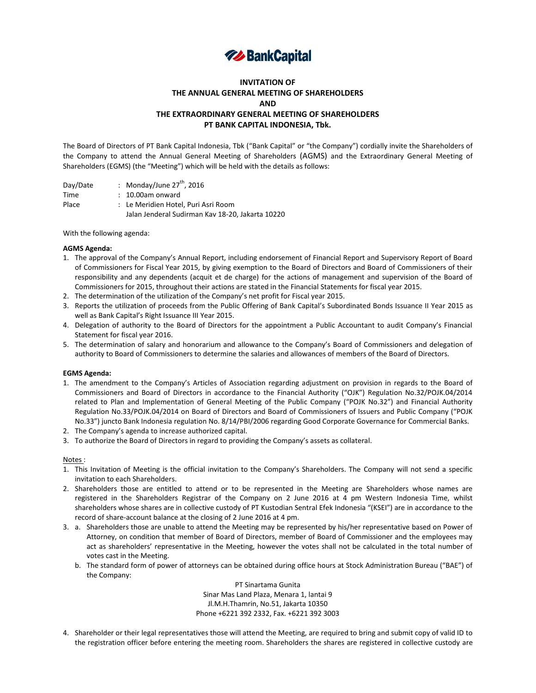

# **INVITATION OF THE ANNUAL GENERAL MEETING OF SHAREHOLDERS AND THE EXTRAORDINARY GENERAL MEETING OF SHAREHOLDERS PT BANK CAPITAL INDONESIA, Tbk.**

The Board of Directors of PT Bank Capital Indonesia, Tbk ("Bank Capital" or "the Company") cordially invite the Shareholders of the Company to attend the Annual General Meeting of Shareholders (AGMS) and the Extraordinary General Meeting of Shareholders (EGMS) (the "Meeting") which will be held with the details as follows:

| Day/Date | : Monday/June $27^{th}$ , 2016                   |
|----------|--------------------------------------------------|
| Time     | $: 10.00$ am onward                              |
| Place    | : Le Meridien Hotel. Puri Asri Room              |
|          | Jalan Jenderal Sudirman Kav 18-20, Jakarta 10220 |

With the following agenda:

## **AGMS Agenda:**

- 1. The approval of the Company's Annual Report, including endorsement of Financial Report and Supervisory Report of Board of Commissioners for Fiscal Year 2015, by giving exemption to the Board of Directors and Board of Commissioners of their responsibility and any dependents (acquit et de charge) for the actions of management and supervision of the Board of Commissioners for 2015, throughout their actions are stated in the Financial Statements for fiscal year 2015.
- 2. The determination of the utilization of the Company's net profit for Fiscal year 2015.
- 3. Reports the utilization of proceeds from the Public Offering of Bank Capital's Subordinated Bonds Issuance II Year 2015 as well as Bank Capital's Right Issuance III Year 2015.
- 4. Delegation of authority to the Board of Directors for the appointment a Public Accountant to audit Company's Financial Statement for fiscal year 2016.
- 5. The determination of salary and honorarium and allowance to the Company's Board of Commissioners and delegation of authority to Board of Commissioners to determine the salaries and allowances of members of the Board of Directors.

### **EGMS Agenda:**

- 1. The amendment to the Company's Articles of Association regarding adjustment on provision in regards to the Board of Commissioners and Board of Directors in accordance to the Financial Authority ("OJK") Regulation No.32/POJK.04/2014 related to Plan and Implementation of General Meeting of the Public Company ("POJK No.32") and Financial Authority Regulation No.33/POJK.04/2014 on Board of Directors and Board of Commissioners of Issuers and Public Company ("POJK No.33") juncto Bank Indonesia regulation No. 8/14/PBI/2006 regarding Good Corporate Governance for Commercial Banks.
- 2. The Company's agenda to increase authorized capital.
- 3. To authorize the Board of Directors in regard to providing the Company's assets as collateral.

### Notes :

- 1. This Invitation of Meeting is the official invitation to the Company's Shareholders. The Company will not send a specific invitation to each Shareholders.
- 2. Shareholders those are entitled to attend or to be represented in the Meeting are Shareholders whose names are registered in the Shareholders Registrar of the Company on 2 June 2016 at 4 pm Western Indonesia Time, whilst shareholders whose shares are in collective custody of PT Kustodian Sentral Efek Indonesia "(KSEI") are in accordance to the record of share-account balance at the closing of 2 June 2016 at 4 pm.
- 3. a. Shareholders those are unable to attend the Meeting may be represented by his/her representative based on Power of Attorney, on condition that member of Board of Directors, member of Board of Commissioner and the employees may act as shareholders' representative in the Meeting, however the votes shall not be calculated in the total number of votes cast in the Meeting.
	- b. The standard form of power of attorneys can be obtained during office hours at Stock Administration Bureau ("BAE") of the Company:

PT Sinartama Gunita Sinar Mas Land Plaza, Menara 1, lantai 9 Jl.M.H.Thamrin, No.51, Jakarta 10350 Phone +6221 392 2332, Fax. +6221 392 3003

4. Shareholder or their legal representatives those will attend the Meeting, are required to bring and submit copy of valid ID to the registration officer before entering the meeting room. Shareholders the shares are registered in collective custody are